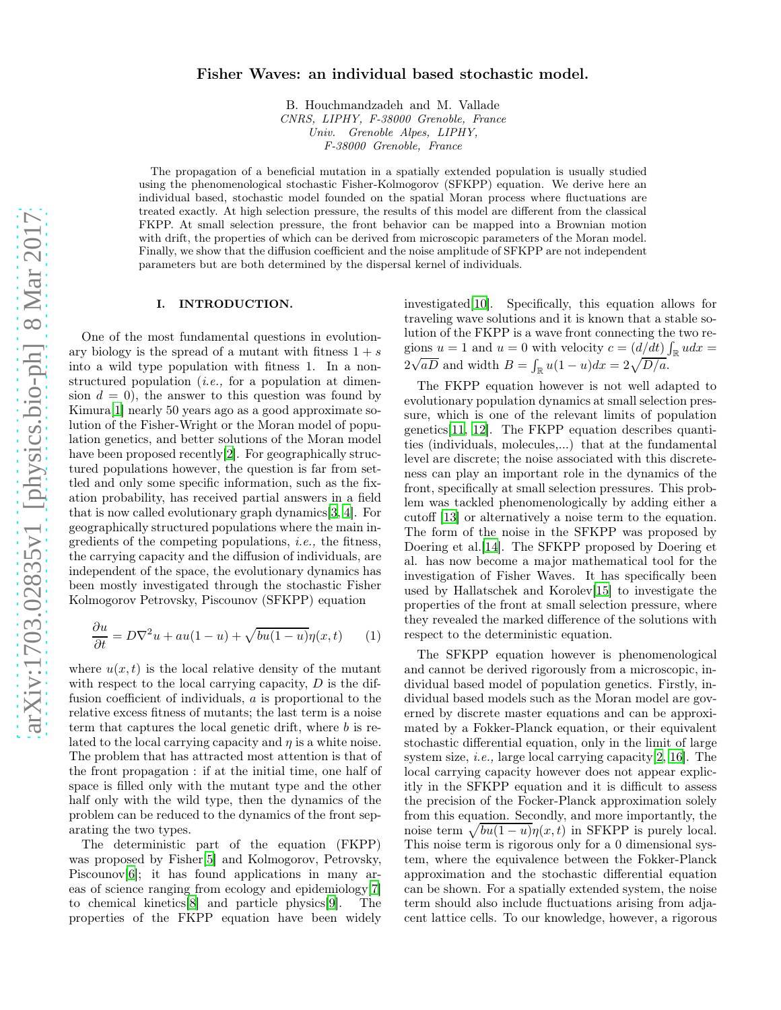# arXiv:1703.02835v1 [physics.bio-ph] 8 Mar 2017 [arXiv:1703.02835v1 \[physics.bio-ph\] 8 Mar 2017](http://arxiv.org/abs/1703.02835v1)

# Fisher Waves: an individual based stochastic model.

B. Houchmandzadeh and M. Vallade *CNRS, LIPHY, F-38000 Grenoble, France Univ. Grenoble Alpes, LIPHY, F-38000 Grenoble, France*

The propagation of a beneficial mutation in a spatially extended population is usually studied using the phenomenological stochastic Fisher-Kolmogorov (SFKPP) equation. We derive here an individual based, stochastic model founded on the spatial Moran process where fluctuations are treated exactly. At high selection pressure, the results of this model are different from the classical FKPP. At small selection pressure, the front behavior can be mapped into a Brownian motion with drift, the properties of which can be derived from microscopic parameters of the Moran model. Finally, we show that the diffusion coefficient and the noise amplitude of SFKPP are not independent parameters but are both determined by the dispersal kernel of individuals.

### I. INTRODUCTION.

One of the most fundamental questions in evolutionary biology is the spread of a mutant with fitness  $1 + s$ into a wild type population with fitness 1. In a nonstructured population *(i.e., for a population at dimen*sion  $d = 0$ , the answer to this question was found by Kimura[\[1\]](#page-12-0) nearly 50 years ago as a good approximate solution of the Fisher-Wright or the Moran model of population genetics, and better solutions of the Moran model have been proposed recently[\[2\]](#page-12-1). For geographically structured populations however, the question is far from settled and only some specific information, such as the fixation probability, has received partial answers in a field that is now called evolutionary graph dynamics[\[3,](#page-12-2) [4\]](#page-12-3). For geographically structured populations where the main ingredients of the competing populations, i.e., the fitness, the carrying capacity and the diffusion of individuals, are independent of the space, the evolutionary dynamics has been mostly investigated through the stochastic Fisher Kolmogorov Petrovsky, Piscounov (SFKPP) equation

<span id="page-0-0"></span>
$$
\frac{\partial u}{\partial t} = D\nabla^2 u + au(1-u) + \sqrt{bu(1-u)}\eta(x,t) \tag{1}
$$

where  $u(x, t)$  is the local relative density of the mutant with respect to the local carrying capacity,  $D$  is the diffusion coefficient of individuals, a is proportional to the relative excess fitness of mutants; the last term is a noise term that captures the local genetic drift, where b is related to the local carrying capacity and  $\eta$  is a white noise. The problem that has attracted most attention is that of the front propagation : if at the initial time, one half of space is filled only with the mutant type and the other half only with the wild type, then the dynamics of the problem can be reduced to the dynamics of the front separating the two types.

The deterministic part of the equation (FKPP) was proposed by Fisher[\[5](#page-12-4)] and Kolmogorov, Petrovsky, Piscounov<sup>[\[6\]](#page-12-5)</sup>; it has found applications in many areas of science ranging from ecology and epidemiology[\[7\]](#page-12-6) to chemical kinetics[\[8\]](#page-12-7) and particle physics[\[9\]](#page-12-8). The properties of the FKPP equation have been widely investigated[\[10\]](#page-12-9). Specifically, this equation allows for traveling wave solutions and it is known that a stable solution of the FKPP is a wave front connecting the two regions  $u = 1$  and  $u = 0$  with velocity  $c = (d/dt) \int_{\mathbb{R}} u dx =$  $2\sqrt{aD}$  and width  $B = \int_{\mathbb{R}} u(1-u)dx = 2\sqrt{D/a}.$ 

The FKPP equation however is not well adapted to evolutionary population dynamics at small selection pressure, which is one of the relevant limits of population genetics[\[11](#page-12-10), [12\]](#page-12-11). The FKPP equation describes quantities (individuals, molecules,...) that at the fundamental level are discrete; the noise associated with this discreteness can play an important role in the dynamics of the front, specifically at small selection pressures. This problem was tackled phenomenologically by adding either a cutoff [\[13\]](#page-12-12) or alternatively a noise term to the equation. The form of the noise in the SFKPP was proposed by Doering et al.[\[14](#page-12-13)]. The SFKPP proposed by Doering et al. has now become a major mathematical tool for the investigation of Fisher Waves. It has specifically been used by Hallatschek and Korolev[\[15\]](#page-12-14) to investigate the properties of the front at small selection pressure, where they revealed the marked difference of the solutions with respect to the deterministic equation.

The SFKPP equation however is phenomenological and cannot be derived rigorously from a microscopic, individual based model of population genetics. Firstly, individual based models such as the Moran model are governed by discrete master equations and can be approximated by a Fokker-Planck equation, or their equivalent stochastic differential equation, only in the limit of large system size, i.e., large local carrying capacity[\[2,](#page-12-1) [16](#page-12-15)]. The local carrying capacity however does not appear explicitly in the SFKPP equation and it is difficult to assess the precision of the Focker-Planck approximation solely from this equation. Secondly, and more importantly, the noise term  $\sqrt{bu(1-u)}\eta(x,t)$  in SFKPP is purely local. This noise term is rigorous only for a 0 dimensional system, where the equivalence between the Fokker-Planck approximation and the stochastic differential equation can be shown. For a spatially extended system, the noise term should also include fluctuations arising from adjacent lattice cells. To our knowledge, however, a rigorous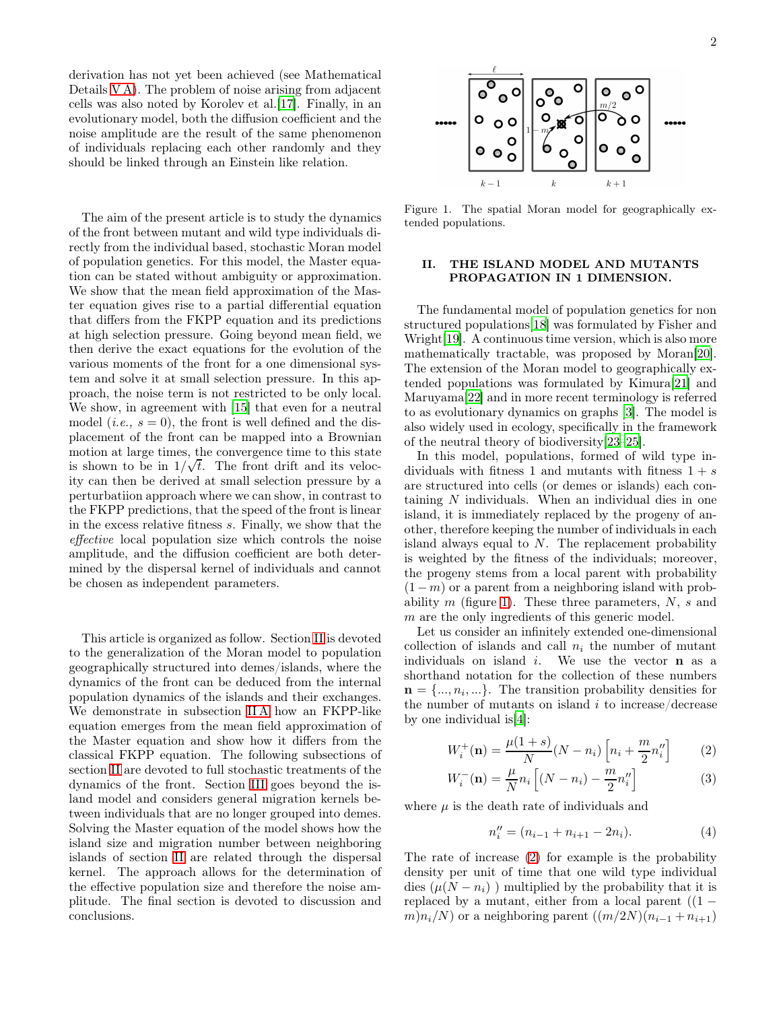derivation has not yet been achieved (see Mathematical Details [V A\)](#page-9-0). The problem of noise arising from adjacent cells was also noted by Korolev et al.[\[17\]](#page-12-16). Finally, in an evolutionary model, both the diffusion coefficient and the noise amplitude are the result of the same phenomenon of individuals replacing each other randomly and they should be linked through an Einstein like relation.

The aim of the present article is to study the dynamics of the front between mutant and wild type individuals directly from the individual based, stochastic Moran model of population genetics. For this model, the Master equation can be stated without ambiguity or approximation. We show that the mean field approximation of the Master equation gives rise to a partial differential equation that differs from the FKPP equation and its predictions at high selection pressure. Going beyond mean field, we then derive the exact equations for the evolution of the various moments of the front for a one dimensional system and solve it at small selection pressure. In this approach, the noise term is not restricted to be only local. We show, in agreement with [\[15\]](#page-12-14) that even for a neutral model (*i.e.*,  $s = 0$ ), the front is well defined and the displacement of the front can be mapped into a Brownian motion at large times, the convergence time to this state is shown to be in  $1/\sqrt{t}$ . The front drift and its velocity can then be derived at small selection pressure by a perturbatiion approach where we can show, in contrast to the FKPP predictions, that the speed of the front is linear in the excess relative fitness s. Finally, we show that the effective local population size which controls the noise amplitude, and the diffusion coefficient are both determined by the dispersal kernel of individuals and cannot be chosen as independent parameters.

This article is organized as follow. Section [II](#page-1-0) is devoted to the generalization of the Moran model to population geographically structured into demes/islands, where the dynamics of the front can be deduced from the internal population dynamics of the islands and their exchanges. We demonstrate in subsection [II A](#page-2-0) how an FKPP-like equation emerges from the mean field approximation of the Master equation and show how it differs from the classical FKPP equation. The following subsections of section [II](#page-1-0) are devoted to full stochastic treatments of the dynamics of the front. Section [III](#page-6-0) goes beyond the island model and considers general migration kernels between individuals that are no longer grouped into demes. Solving the Master equation of the model shows how the island size and migration number between neighboring islands of section [II](#page-1-0) are related through the dispersal kernel. The approach allows for the determination of the effective population size and therefore the noise amplitude. The final section is devoted to discussion and conclusions.



<span id="page-1-1"></span>Figure 1. The spatial Moran model for geographically extended populations.

# <span id="page-1-0"></span>II. THE ISLAND MODEL AND MUTANTS PROPAGATION IN 1 DIMENSION.

The fundamental model of population genetics for non structured populations[\[18](#page-12-17)] was formulated by Fisher and Wright[\[19\]](#page-12-18). A continuous time version, which is also more mathematically tractable, was proposed by Moran[\[20\]](#page-12-19). The extension of the Moran model to geographically extended populations was formulated by Kimura[\[21\]](#page-12-20) and Maruyama[\[22\]](#page-12-21) and in more recent terminology is referred to as evolutionary dynamics on graphs [\[3\]](#page-12-2). The model is also widely used in ecology, specifically in the framework of the neutral theory of biodiversity[\[23](#page-12-22)[–25\]](#page-12-23).

In this model, populations, formed of wild type individuals with fitness 1 and mutants with fitness  $1 + s$ are structured into cells (or demes or islands) each containing N individuals. When an individual dies in one island, it is immediately replaced by the progeny of another, therefore keeping the number of individuals in each island always equal to  $N$ . The replacement probability is weighted by the fitness of the individuals; moreover, the progeny stems from a local parent with probability  $(1 - m)$  or a parent from a neighboring island with probability  $m$  (figure [1\)](#page-1-1). These three parameters,  $N$ ,  $s$  and m are the only ingredients of this generic model.

Let us consider an infinitely extended one-dimensional collection of islands and call  $n_i$  the number of mutant individuals on island  $i$ . We use the vector **n** as a shorthand notation for the collection of these numbers  $\mathbf{n} = \{..., n_i, ...\}$ . The transition probability densities for the number of mutants on island  $i$  to increase/decrease by one individual is[\[4](#page-12-3)]:

<span id="page-1-2"></span>
$$
W_i^+(\mathbf{n}) = \frac{\mu(1+s)}{N} (N - n_i) \left[ n_i + \frac{m}{2} n_i'' \right] \tag{2}
$$

$$
W_i^-(\mathbf{n}) = \frac{\mu}{N} n_i \left[ (N - n_i) - \frac{m}{2} n_i'' \right] \tag{3}
$$

where  $\mu$  is the death rate of individuals and

$$
n_i'' = (n_{i-1} + n_{i+1} - 2n_i). \tag{4}
$$

The rate of increase [\(2\)](#page-1-2) for example is the probability density per unit of time that one wild type individual dies  $(\mu(N - n_i))$  multiplied by the probability that it is replaced by a mutant, either from a local parent  $(1$  $m\in(n_i/N)$  or a neighboring parent  $((m/2N)(n_{i-1} + n_{i+1}))$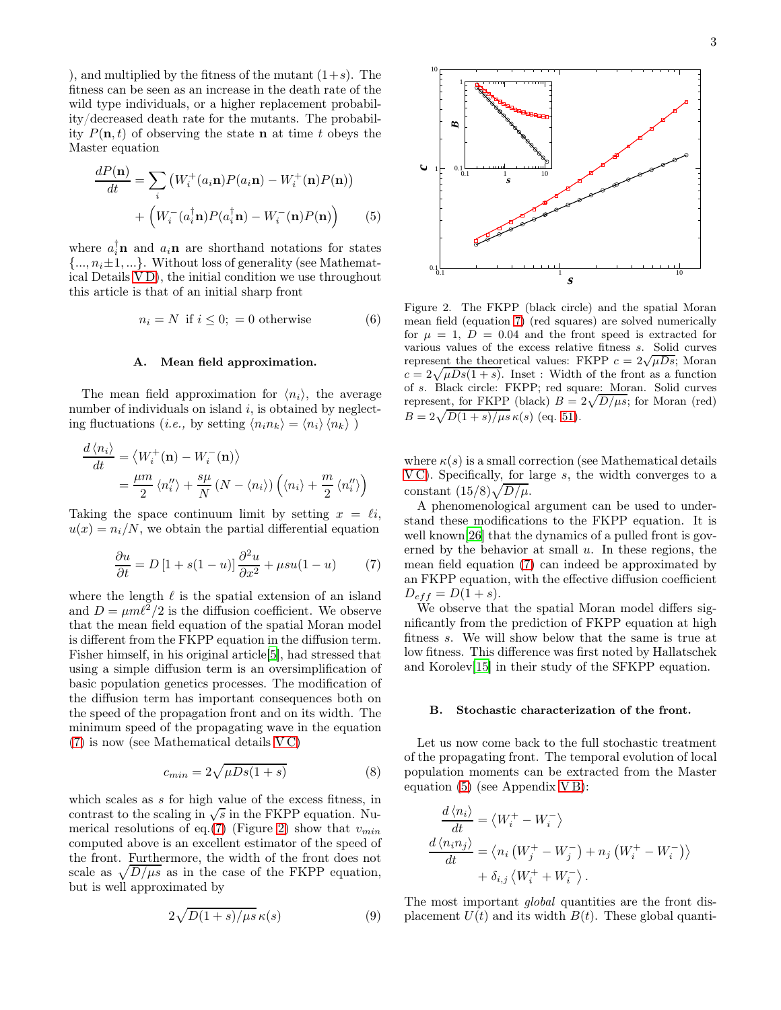), and multiplied by the fitness of the mutant  $(1+s)$ . The fitness can be seen as an increase in the death rate of the wild type individuals, or a higher replacement probability/decreased death rate for the mutants. The probability  $P(n, t)$  of observing the state **n** at time t obeys the Master equation

<span id="page-2-3"></span>
$$
\frac{dP(\mathbf{n})}{dt} = \sum_{i} \left( W_i^+(a_i \mathbf{n}) P(a_i \mathbf{n}) - W_i^+(\mathbf{n}) P(\mathbf{n}) \right) + \left( W_i^-(a_i^{\dagger} \mathbf{n}) P(a_i^{\dagger} \mathbf{n}) - W_i^-(\mathbf{n}) P(\mathbf{n}) \right) \tag{5}
$$

where  $a_i^{\dagger}$ **n** and  $a_i$ **n** are shorthand notations for states  $\{..., n_i\pm 1,...\}$ . Without loss of generality (see Mathematical Details [V D\)](#page-11-0), the initial condition we use throughout this article is that of an initial sharp front

<span id="page-2-4"></span>
$$
n_i = N \text{ if } i \le 0; = 0 \text{ otherwise } (6)
$$

### <span id="page-2-0"></span>A. Mean field approximation.

The mean field approximation for  $\langle n_i \rangle$ , the average number of individuals on island  $i$ , is obtained by neglecting fluctuations (*i.e.*, by setting  $\langle n_i n_k \rangle = \langle n_i \rangle \langle n_k \rangle$ )

$$
\frac{d\langle n_i \rangle}{dt} = \langle W_i^+(\mathbf{n}) - W_i^-(\mathbf{n}) \rangle
$$
  
=  $\frac{\mu m}{2} \langle n_i'' \rangle + \frac{s\mu}{N} (N - \langle n_i \rangle) \left( \langle n_i \rangle + \frac{m}{2} \langle n_i'' \rangle \right)$ 

Taking the space continuum limit by setting  $x = \ell i$ .  $u(x) = n_i/N$ , we obtain the partial differential equation

<span id="page-2-1"></span>
$$
\frac{\partial u}{\partial t} = D\left[1 + s(1 - u)\right] \frac{\partial^2 u}{\partial x^2} + \mu s u(1 - u) \tag{7}
$$

where the length  $\ell$  is the spatial extension of an island and  $D = \mu m \ell^2 / 2$  is the diffusion coefficient. We observe that the mean field equation of the spatial Moran model is different from the FKPP equation in the diffusion term. Fisher himself, in his original article[\[5\]](#page-12-4), had stressed that using a simple diffusion term is an oversimplification of basic population genetics processes. The modification of the diffusion term has important consequences both on the speed of the propagation front and on its width. The minimum speed of the propagating wave in the equation [\(7\)](#page-2-1) is now (see Mathematical details [V C\)](#page-10-0)

<span id="page-2-6"></span>
$$
c_{min} = 2\sqrt{\mu D s (1+s)}\tag{8}
$$

which scales as s for high value of the excess fitness, in contrast to the scaling in  $\sqrt{s}$  in the FKPP equation. Nu-merical resolutions of eq.[\(7\)](#page-2-1) (Figure [2\)](#page-2-2) show that  $v_{min}$ computed above is an excellent estimator of the speed of the front. Furthermore, the width of the front does not scale as  $\sqrt{D/\mu s}$  as in the case of the FKPP equation, but is well approximated by

<span id="page-2-7"></span>
$$
2\sqrt{D(1+s)/\mu s}\,\kappa(s)\qquad \qquad (9)
$$



<span id="page-2-2"></span>Figure 2. The FKPP (black circle) and the spatial Moran mean field (equation [7\)](#page-2-1) (red squares) are solved numerically for  $\mu = 1$ ,  $D = 0.04$  and the front speed is extracted for various values of the excess relative fitness s. Solid curves represent the theoretical values: FKPP  $c = 2\sqrt{\mu Ds}$ ; Moran  $c = 2\sqrt{\mu Ds(1 + s)}$ . Inset : Width of the front as a function of s. Black circle: FKPP; red square: Moran. Solid curves represent, for FKPP (black)  $B = 2\sqrt{D/\mu s}$ ; for Moran (red)  $B = 2\sqrt{D(1 + s)/\mu s} \kappa(s)$  (eq. [51\)](#page-11-1).

where  $\kappa(s)$  is a small correction (see Mathematical details [V C\)](#page-10-0). Specifically, for large s, the width converges to a constant  $(15/8)\sqrt{D/\mu}$ .

A phenomenological argument can be used to understand these modifications to the FKPP equation. It is well known<sup>[\[26\]](#page-12-24)</sup> that the dynamics of a pulled front is governed by the behavior at small  $u$ . In these regions, the mean field equation [\(7\)](#page-2-1) can indeed be approximated by an FKPP equation, with the effective diffusion coefficient  $D_{eff} = D(1 + s).$ 

We observe that the spatial Moran model differs significantly from the prediction of FKPP equation at high fitness s. We will show below that the same is true at low fitness. This difference was first noted by Hallatschek and Korolev[\[15\]](#page-12-14) in their study of the SFKPP equation.

### <span id="page-2-5"></span>B. Stochastic characterization of the front.

Let us now come back to the full stochastic treatment of the propagating front. The temporal evolution of local population moments can be extracted from the Master equation  $(5)$  (see Appendix VB):

$$
\frac{d\langle n_i \rangle}{dt} = \langle W_i^+ - W_i^- \rangle
$$
\n
$$
\frac{d\langle n_i n_j \rangle}{dt} = \langle n_i (W_j^+ - W_j^-) + n_j (W_i^+ - W_i^-) \rangle
$$
\n
$$
+ \delta_{i,j} \langle W_i^+ + W_i^- \rangle.
$$

The most important *global* quantities are the front displacement  $U(t)$  and its width  $B(t)$ . These global quanti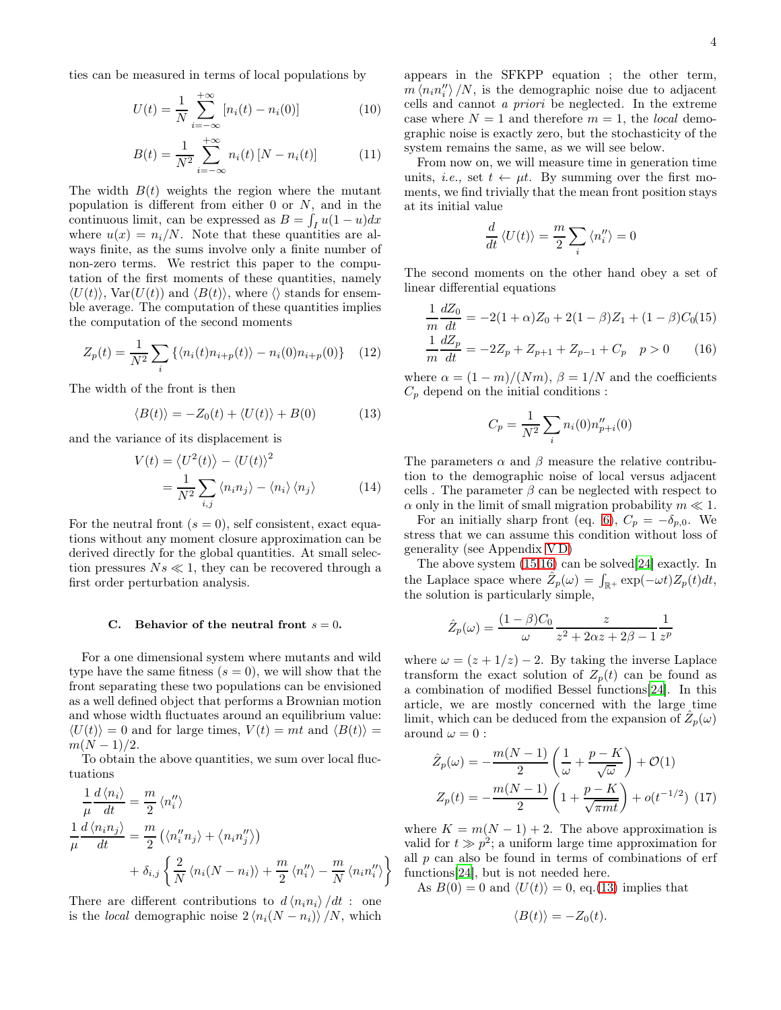ties can be measured in terms of local populations by

<span id="page-3-2"></span>
$$
U(t) = \frac{1}{N} \sum_{i = -\infty}^{+\infty} [n_i(t) - n_i(0)]
$$
 (10)

$$
B(t) = \frac{1}{N^2} \sum_{i=-\infty}^{+\infty} n_i(t) [N - n_i(t)] \tag{11}
$$

The width  $B(t)$  weights the region where the mutant population is different from either  $0$  or  $N$ , and in the continuous limit, can be expressed as  $B = \int_I u(1-u)dx$ where  $u(x) = n_i/N$ . Note that these quantities are always finite, as the sums involve only a finite number of non-zero terms. We restrict this paper to the computation of the first moments of these quantities, namely  $\langle U(t) \rangle$ , Var $(U(t))$  and  $\langle B(t) \rangle$ , where  $\langle \rangle$  stands for ensemble average. The computation of these quantities implies the computation of the second moments

<span id="page-3-5"></span>
$$
Z_p(t) = \frac{1}{N^2} \sum_i \left\{ \langle n_i(t) n_{i+p}(t) \rangle - n_i(0) n_{i+p}(0) \right\} \tag{12}
$$

The width of the front is then

<span id="page-3-1"></span>
$$
\langle B(t) \rangle = -Z_0(t) + \langle U(t) \rangle + B(0) \tag{13}
$$

and the variance of its displacement is

<span id="page-3-4"></span>
$$
V(t) = \langle U^2(t) \rangle - \langle U(t) \rangle^2
$$
  
= 
$$
\frac{1}{N^2} \sum_{i,j} \langle n_i n_j \rangle - \langle n_i \rangle \langle n_j \rangle
$$
 (14)

For the neutral front  $(s = 0)$ , self consistent, exact equations without any moment closure approximation can be derived directly for the global quantities. At small selection pressures  $Ns \ll 1$ , they can be recovered through a first order perturbation analysis.

### C. Behavior of the neutral front  $s = 0$ .

For a one dimensional system where mutants and wild type have the same fitness  $(s = 0)$ , we will show that the front separating these two populations can be envisioned as a well defined object that performs a Brownian motion and whose width fluctuates around an equilibrium value:  $\langle U(t) \rangle = 0$  and for large times,  $V(t) = mt$  and  $\langle B(t) \rangle =$  $m(N-1)/2$ .

To obtain the above quantities, we sum over local fluctuations

$$
\frac{1}{\mu} \frac{d \langle n_i \rangle}{dt} = \frac{m}{2} \langle n_i'' \rangle
$$
  

$$
\frac{1}{\mu} \frac{d \langle n_i n_j \rangle}{dt} = \frac{m}{2} \left( \langle n_i'' n_j \rangle + \langle n_i n_j'' \rangle \right)
$$
  

$$
+ \delta_{i,j} \left\{ \frac{2}{N} \langle n_i(N - n_i) \rangle + \frac{m}{2} \langle n_i'' \rangle - \frac{m}{N} \langle n_i n_i'' \rangle \right\}
$$

There are different contributions to  $d \langle n_i n_i \rangle /dt$  : one is the *local* demographic noise  $2\langle n_i(N - n_i) \rangle/N$ , which appears in the SFKPP equation ; the other term,  $m \langle n_i n_i'' \rangle /N$ , is the demographic noise due to adjacent cells and cannot a priori be neglected. In the extreme case where  $N = 1$  and therefore  $m = 1$ , the *local* demographic noise is exactly zero, but the stochasticity of the system remains the same, as we will see below.

From now on, we will measure time in generation time units, *i.e.*, set  $t \leftarrow \mu t$ . By summing over the first moments, we find trivially that the mean front position stays at its initial value

$$
\frac{d}{dt}\left\langle U(t)\right\rangle = \frac{m}{2}\sum_{i}\left\langle n''_i\right\rangle = 0
$$

The second moments on the other hand obey a set of linear differential equations

<span id="page-3-0"></span>
$$
\frac{1}{m}\frac{dZ_0}{dt} = -2(1+\alpha)Z_0 + 2(1-\beta)Z_1 + (1-\beta)C_0(15)
$$
  

$$
\frac{1}{m}\frac{dZ_p}{dt} = -2Z_p + Z_{p+1} + Z_{p-1} + C_p \quad p > 0 \qquad (16)
$$

where  $\alpha = (1 - m)/(Nm)$ ,  $\beta = 1/N$  and the coefficients  $C_p$  depend on the initial conditions :

$$
C_p = \frac{1}{N^2} \sum_i n_i(0) n_{p+i}''(0)
$$

The parameters  $\alpha$  and  $\beta$  measure the relative contribution to the demographic noise of local versus adjacent cells. The parameter  $\beta$  can be neglected with respect to  $\alpha$  only in the limit of small migration probability  $m \ll 1$ .

For an initially sharp front (eq. [6\)](#page-2-4),  $C_p = -\delta_{p,0}$ . We stress that we can assume this condition without loss of generality (see Appendix [V D\)](#page-11-0)

The above system [\(15,16\)](#page-3-0) can be solved[\[24](#page-12-25)] exactly. In the Laplace space where  $\hat{Z}_p(\omega) = \int_{\mathbb{R}^+} \exp(-\omega t) Z_p(t) dt$ , the solution is particularly simple,

$$
\hat{Z}_p(\omega) = \frac{(1-\beta)C_0}{\omega} \frac{z}{z^2 + 2\alpha z + 2\beta - 1} \frac{1}{z^p}
$$

where  $\omega = (z + 1/z) - 2$ . By taking the inverse Laplace transform the exact solution of  $Z_p(t)$  can be found as a combination of modified Bessel functions[\[24](#page-12-25)]. In this article, we are mostly concerned with the large time limit, which can be deduced from the expansion of  $\hat{Z}_p(\omega)$ around  $\omega = 0$ :

<span id="page-3-3"></span>
$$
\hat{Z}_p(\omega) = -\frac{m(N-1)}{2} \left( \frac{1}{\omega} + \frac{p-K}{\sqrt{\omega}} \right) + \mathcal{O}(1)
$$

$$
Z_p(t) = -\frac{m(N-1)}{2} \left( 1 + \frac{p-K}{\sqrt{\pi mt}} \right) + o(t^{-1/2}) \tag{17}
$$

where  $K = m(N - 1) + 2$ . The above approximation is valid for  $t \gg p^2$ ; a uniform large time approximation for all  $p$  can also be found in terms of combinations of erf functions[\[24](#page-12-25)], but is not needed here.

As  $B(0) = 0$  and  $\langle U(t) \rangle = 0$ , eq.[\(13\)](#page-3-1) implies that

$$
\langle B(t) \rangle = -Z_0(t).
$$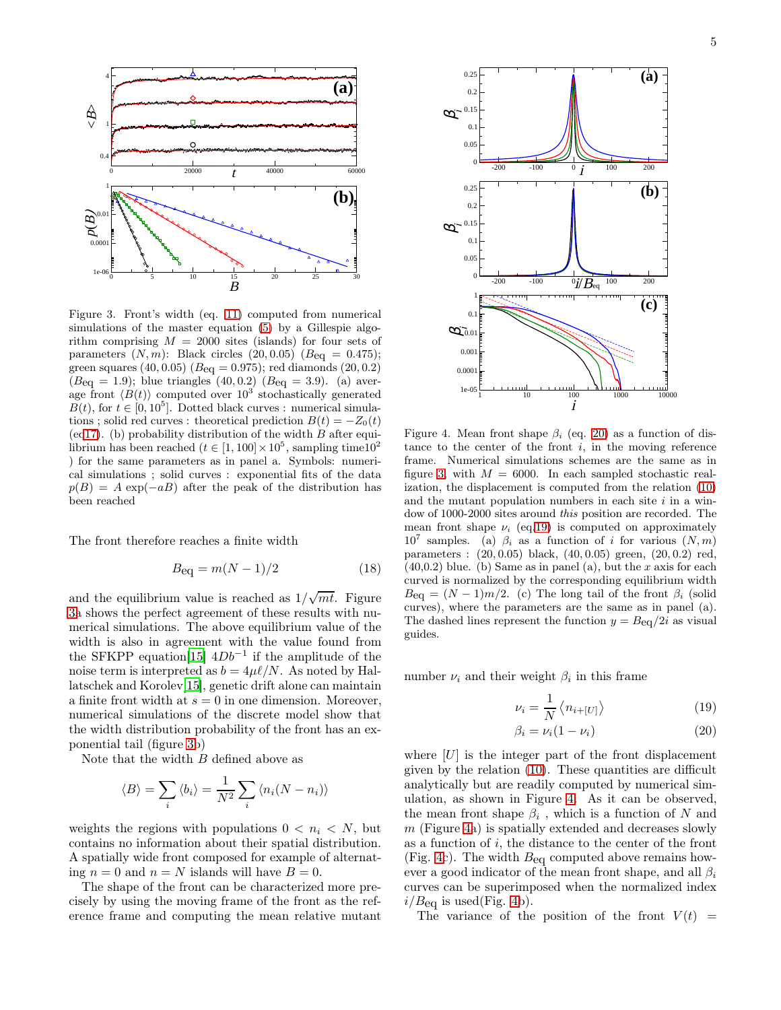

<span id="page-4-0"></span>Figure 3. Front's width (eq. [11\)](#page-3-2) computed from numerical simulations of the master equation [\(5\)](#page-2-3) by a Gillespie algorithm comprising  $M = 2000$  sites (islands) for four sets of parameters  $(N, m)$ : Black circles  $(20, 0.05)$   $(Beq = 0.475)$ ; green squares  $(40, 0.05)$   $(B_{eq} = 0.975)$ ; red diamonds  $(20, 0.2)$  $(B_{eq} = 1.9)$ ; blue triangles (40,0.2)  $(B_{eq} = 3.9)$ . (a) average front  $\langle B(t) \rangle$  computed over  $10^3$  stochastically generated  $B(t)$ , for  $t \in [0, 10^5]$ . Dotted black curves : numerical simulations ; solid red curves : theoretical prediction  $B(t) = -Z_0(t)$ (e[q17\)](#page-3-3). (b) probability distribution of the width  $B$  after equilibrium has been reached  $(t \in [1, 100] \times 10^5$ , sampling time10<sup>2</sup> ) for the same parameters as in panel a. Symbols: numerical simulations ; solid curves : exponential fits of the data  $p(B) = A \exp(-aB)$  after the peak of the distribution has been reached

The front therefore reaches a finite width

<span id="page-4-3"></span>
$$
B_{\text{eq}} = m(N-1)/2 \tag{18}
$$

and the equilibrium value is reached as  $1/\sqrt{mt}$ . Figure [3a](#page-4-0) shows the perfect agreement of these results with numerical simulations. The above equilibrium value of the width is also in agreement with the value found from the SFKPP equation<sup>[\[15](#page-12-14)]</sup>  $4Db^{-1}$  if the amplitude of the noise term is interpreted as  $b = 4\mu\ell/N$ . As noted by Hallatschek and Korolev[\[15](#page-12-14)], genetic drift alone can maintain a finite front width at  $s = 0$  in one dimension. Moreover, numerical simulations of the discrete model show that the width distribution probability of the front has an exponential tail (figure [3b](#page-4-0))

Note that the width  $B$  defined above as

$$
\langle B \rangle = \sum_{i} \langle b_i \rangle = \frac{1}{N^2} \sum_{i} \langle n_i(N - n_i) \rangle
$$

weights the regions with populations  $0 < n_i < N$ , but contains no information about their spatial distribution. A spatially wide front composed for example of alternating  $n = 0$  and  $n = N$  islands will have  $B = 0$ .

The shape of the front can be characterized more precisely by using the moving frame of the front as the reference frame and computing the mean relative mutant



<span id="page-4-2"></span>Figure 4. Mean front shape  $\beta_i$  (eq. [20\)](#page-4-1) as a function of distance to the center of the front  $i$ , in the moving reference frame. Numerical simulations schemes are the same as in figure [3,](#page-4-0) with  $M = 6000$ . In each sampled stochastic realization, the displacement is computed from the relation [\(10\)](#page-3-2) and the mutant population numbers in each site  $i$  in a window of 1000-2000 sites around *this* position are recorded. The mean front shape  $\nu_i$  (eq[.19\)](#page-4-1) is computed on approximately  $10^7$  samples. (a)  $\beta_i$  as a function of i for various  $(N, m)$ parameters : (20, 0.05) black, (40, 0.05) green, (20, 0.2) red,  $(40,0.2)$  blue. (b) Same as in panel (a), but the x axis for each curved is normalized by the corresponding equilibrium width  $B_{\text{eq}} = (N-1)m/2$ . (c) The long tail of the front  $\beta_i$  (solid curves), where the parameters are the same as in panel (a). The dashed lines represent the function  $y = Beq/2i$  as visual guides.

number  $\nu_i$  and their weight  $\beta_i$  in this frame

<span id="page-4-1"></span>
$$
\nu_i = \frac{1}{N} \left\langle n_{i+[U]} \right\rangle \tag{19}
$$

$$
\beta_i = \nu_i (1 - \nu_i) \tag{20}
$$

where  $[U]$  is the integer part of the front displacement given by the relation [\(10\)](#page-3-2). These quantities are difficult analytically but are readily computed by numerical simulation, as shown in Figure [4.](#page-4-2) As it can be observed, the mean front shape  $\beta_i$ , which is a function of N and  $m$  (Figure [4a](#page-4-2)) is spatially extended and decreases slowly as a function of  $i$ , the distance to the center of the front (Fig. [4c](#page-4-2)). The width  $B_{eq}$  computed above remains however a good indicator of the mean front shape, and all  $\beta_i$ curves can be superimposed when the normalized index  $i/B_{\text{eq}}$  is used(Fig. [4b](#page-4-2)).

The variance of the position of the front  $V(t)$  =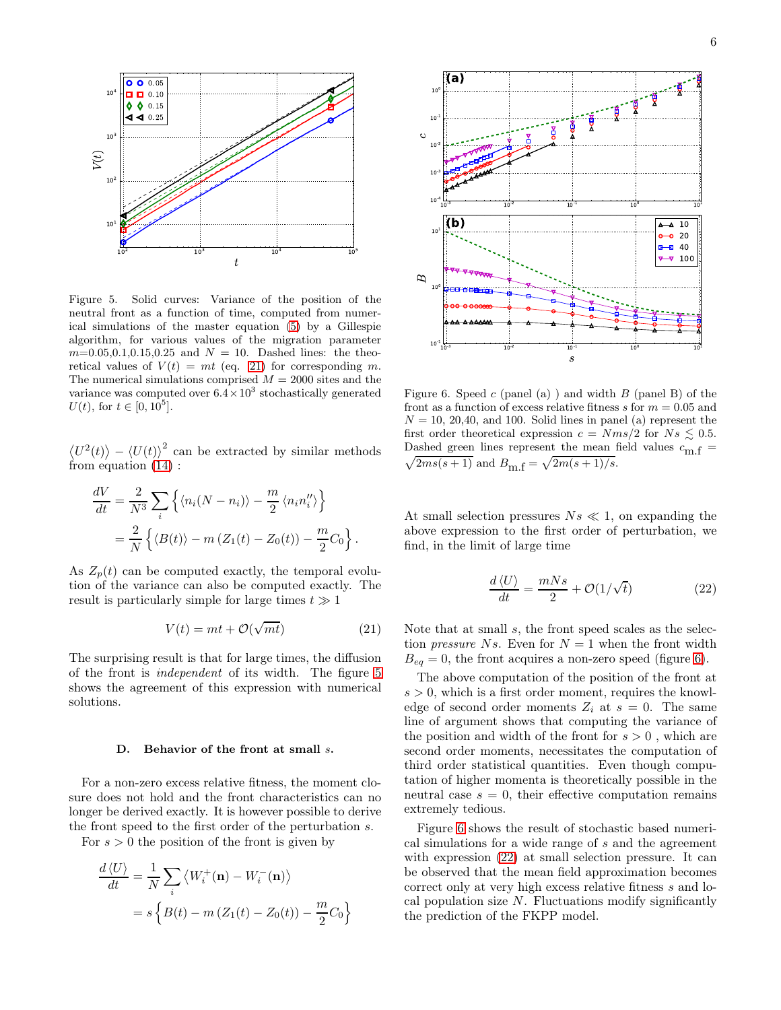

<span id="page-5-1"></span>Figure 5. Solid curves: Variance of the position of the neutral front as a function of time, computed from numerical simulations of the master equation [\(5\)](#page-2-3) by a Gillespie algorithm, for various values of the migration parameter  $m=0.05,0.1,0.15,0.25$  and  $N = 10$ . Dashed lines: the theoretical values of  $V(t) = mt$  (eq. [21\)](#page-5-0) for corresponding m. The numerical simulations comprised  $M = 2000$  sites and the variance was computed over  $6.4 \times 10^3$  stochastically generated  $U(t)$ , for  $t \in [0, 10^5]$ .

 $\langle U^2(t) \rangle - \langle U(t) \rangle^2$  can be extracted by similar methods from equation [\(14\)](#page-3-4) :

$$
\frac{dV}{dt} = \frac{2}{N^3} \sum_{i} \left\{ \langle n_i (N - n_i) \rangle - \frac{m}{2} \langle n_i n_i'' \rangle \right\}
$$

$$
= \frac{2}{N} \left\{ \langle B(t) \rangle - m \left( Z_1(t) - Z_0(t) \right) - \frac{m}{2} C_0 \right\}.
$$

As  $Z_p(t)$  can be computed exactly, the temporal evolution of the variance can also be computed exactly. The result is particularly simple for large times  $t \gg 1$ 

<span id="page-5-0"></span>
$$
V(t) = mt + \mathcal{O}(\sqrt{mt})
$$
 (21)

The surprising result is that for large times, the diffusion of the front is independent of its width. The figure [5](#page-5-1) shows the agreement of this expression with numerical solutions.

### D. Behavior of the front at small s.

For a non-zero excess relative fitness, the moment closure does not hold and the front characteristics can no longer be derived exactly. It is however possible to derive the front speed to the first order of the perturbation s.

For  $s > 0$  the position of the front is given by

$$
\frac{d\langle U \rangle}{dt} = \frac{1}{N} \sum_{i} \langle W_i^+(\mathbf{n}) - W_i^-(\mathbf{n}) \rangle
$$

$$
= s \left\{ B(t) - m \left( Z_1(t) - Z_0(t) \right) - \frac{m}{2} C_0 \right\}
$$



<span id="page-5-2"></span>Figure 6. Speed  $c$  (panel (a)) and width  $B$  (panel B) of the front as a function of excess relative fitness  $s$  for  $m = 0.05$  and  $N = 10, 20, 40,$  and 100. Solid lines in panel (a) represent the first order theoretical expression  $c = Nms/2$  for  $Ns \leq 0.5$ . Dashed green lines represent the mean field values  $c_{\text{m.f}} =$  $2ms(s + 1)$  and  $B_{m,f} = \sqrt{2m(s + 1)/s}$ .

At small selection pressures  $Ns \ll 1$ , on expanding the above expression to the first order of perturbation, we find, in the limit of large time

<span id="page-5-3"></span>
$$
\frac{d\langle U\rangle}{dt} = \frac{mNs}{2} + \mathcal{O}(1/\sqrt{t})\tag{22}
$$

Note that at small s, the front speed scales as the selection *pressure* Ns. Even for  $N = 1$  when the front width  $B_{eq} = 0$ , the front acquires a non-zero speed (figure [6\)](#page-5-2).

The above computation of the position of the front at  $s > 0$ , which is a first order moment, requires the knowledge of second order moments  $Z_i$  at  $s = 0$ . The same line of argument shows that computing the variance of the position and width of the front for  $s > 0$ , which are second order moments, necessitates the computation of third order statistical quantities. Even though computation of higher momenta is theoretically possible in the neutral case  $s = 0$ , their effective computation remains extremely tedious.

Figure [6](#page-5-2) shows the result of stochastic based numerical simulations for a wide range of s and the agreement with expression  $(22)$  at small selection pressure. It can be observed that the mean field approximation becomes correct only at very high excess relative fitness s and local population size  $N$ . Fluctuations modify significantly the prediction of the FKPP model.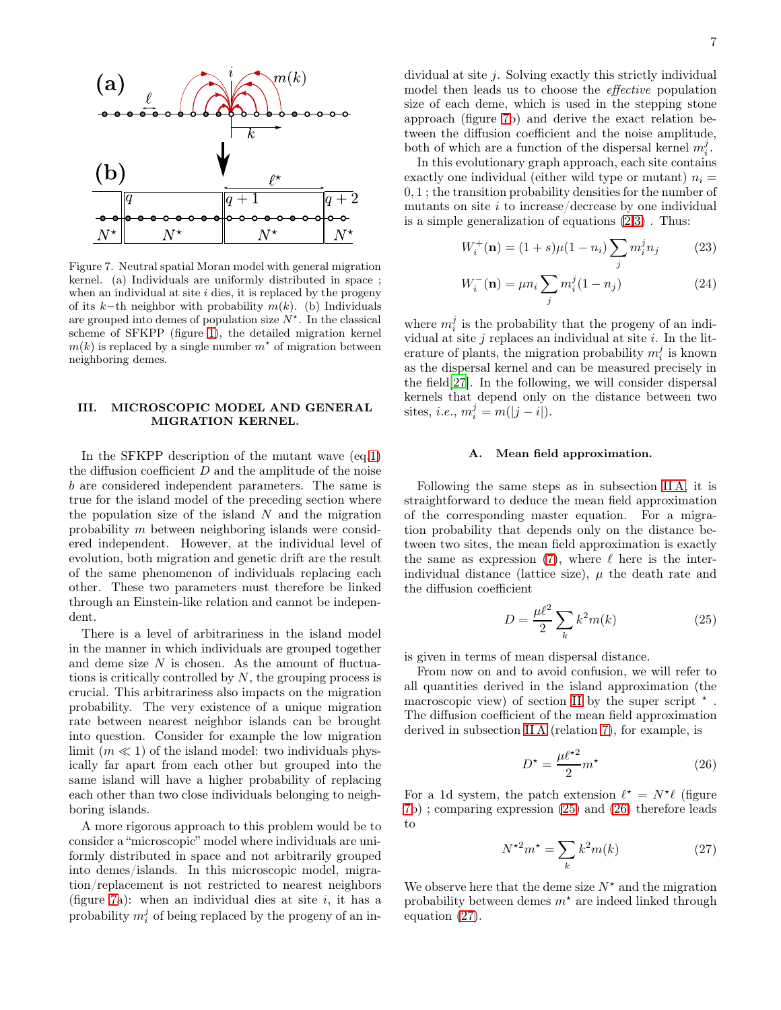

<span id="page-6-1"></span>Figure 7. Neutral spatial Moran model with general migration kernel. (a) Individuals are uniformly distributed in space ; when an individual at site  $i$  dies, it is replaced by the progeny of its k–th neighbor with probability  $m(k)$ . (b) Individuals are grouped into demes of population size  $N^*$ . In the classical scheme of SFKPP (figure [1\)](#page-1-1), the detailed migration kernel  $m(k)$  is replaced by a single number  $m^*$  of migration between neighboring demes.

# <span id="page-6-0"></span>III. MICROSCOPIC MODEL AND GENERAL MIGRATION KERNEL.

In the SFKPP description of the mutant wave (eq[.1\)](#page-0-0) the diffusion coefficient  $D$  and the amplitude of the noise b are considered independent parameters. The same is true for the island model of the preceding section where the population size of the island  $N$  and the migration probability m between neighboring islands were considered independent. However, at the individual level of evolution, both migration and genetic drift are the result of the same phenomenon of individuals replacing each other. These two parameters must therefore be linked through an Einstein-like relation and cannot be independent.

There is a level of arbitrariness in the island model in the manner in which individuals are grouped together and deme size  $N$  is chosen. As the amount of fluctuations is critically controlled by  $N$ , the grouping process is crucial. This arbitrariness also impacts on the migration probability. The very existence of a unique migration rate between nearest neighbor islands can be brought into question. Consider for example the low migration limit  $(m \ll 1)$  of the island model: two individuals physically far apart from each other but grouped into the same island will have a higher probability of replacing each other than two close individuals belonging to neighboring islands.

A more rigorous approach to this problem would be to consider a "microscopic" model where individuals are uniformly distributed in space and not arbitrarily grouped into demes/islands. In this microscopic model, migration/replacement is not restricted to nearest neighbors (figure [7a](#page-6-1)): when an individual dies at site  $i$ , it has a probability  $m_i^j$  of being replaced by the progeny of an individual at site  $j$ . Solving exactly this strictly individual model then leads us to choose the effective population size of each deme, which is used in the stepping stone approach (figure [7b](#page-6-1)) and derive the exact relation between the diffusion coefficient and the noise amplitude, both of which are a function of the dispersal kernel  $m_i^j$ .

In this evolutionary graph approach, each site contains exactly one individual (either wild type or mutant)  $n_i =$ 0, 1 ; the transition probability densities for the number of mutants on site  $i$  to increase/decrease by one individual is a simple generalization of equations [\(2,3\)](#page-1-2) . Thus:

<span id="page-6-5"></span>
$$
W_i^+(\mathbf{n}) = (1+s)\mu(1-n_i) \sum_j m_i^j n_j \tag{23}
$$

$$
W_i^{-}(\mathbf{n}) = \mu n_i \sum_j m_i^j (1 - n_j)
$$
 (24)

where  $m_i^j$  is the probability that the progeny of an individual at site  $j$  replaces an individual at site  $i$ . In the literature of plants, the migration probability  $m_i^j$  is known as the dispersal kernel and can be measured precisely in the field[\[27\]](#page-12-26). In the following, we will consider dispersal kernels that depend only on the distance between two sites, *i.e.*,  $m_i^j = m(|j - i|)$ .

# A. Mean field approximation.

Following the same steps as in subsection [II A,](#page-2-0) it is straightforward to deduce the mean field approximation of the corresponding master equation. For a migration probability that depends only on the distance between two sites, the mean field approximation is exactly the same as expression [\(7\)](#page-2-1), where  $\ell$  here is the interindividual distance (lattice size),  $\mu$  the death rate and the diffusion coefficient

<span id="page-6-2"></span>
$$
D = \frac{\mu\ell^2}{2} \sum_k k^2 m(k) \tag{25}
$$

is given in terms of mean dispersal distance.

From now on and to avoid confusion, we will refer to all quantities derived in the island approximation (the macroscopic view) of section [II](#page-1-0) by the super script  $\star$ . The diffusion coefficient of the mean field approximation derived in subsection [II A](#page-2-0) (relation [7\)](#page-2-1), for example, is

<span id="page-6-3"></span>
$$
D^* = \frac{\mu \ell^*^2}{2} m^* \tag{26}
$$

For a 1d system, the patch extension  $\ell^* = N^* \ell$  (figure [7b](#page-6-1)) ; comparing expression [\(25\)](#page-6-2) and [\(26\)](#page-6-3) therefore leads to

<span id="page-6-4"></span>
$$
N^{\star 2}m^{\star} = \sum_{k} k^{2}m(k) \qquad (27)
$$

We observe here that the deme size  $N^*$  and the migration probability between demes  $m^*$  are indeed linked through equation [\(27\)](#page-6-4).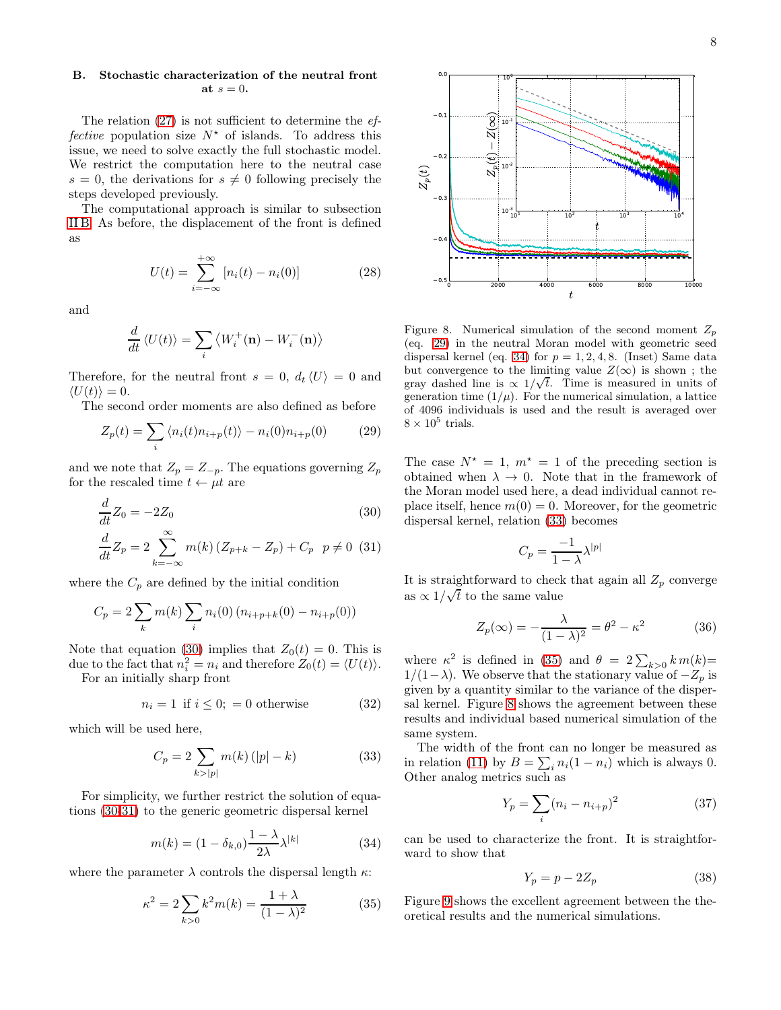8

# <span id="page-7-8"></span>B. Stochastic characterization of the neutral front at  $s=0$ .

The relation  $(27)$  is not sufficient to determine the  $ef$ fective population size  $N^*$  of islands. To address this issue, we need to solve exactly the full stochastic model. We restrict the computation here to the neutral case  $s = 0$ , the derivations for  $s \neq 0$  following precisely the steps developed previously.

The computational approach is similar to subsection [II B.](#page-2-5) As before, the displacement of the front is defined as

<span id="page-7-9"></span>
$$
U(t) = \sum_{i = -\infty}^{+\infty} [n_i(t) - n_i(0)]
$$
 (28)

and

$$
\frac{d}{dt}\langle U(t)\rangle = \sum_{i} \langle W_i^+(\mathbf{n}) - W_i^-(\mathbf{n})\rangle
$$

Therefore, for the neutral front  $s = 0$ ,  $d_t \langle U \rangle = 0$  and  $\langle U(t)\rangle = 0.$ 

The second order moments are also defined as before

<span id="page-7-1"></span>
$$
Z_p(t) = \sum_i \langle n_i(t)n_{i+p}(t) \rangle - n_i(0)n_{i+p}(0) \tag{29}
$$

and we note that  $Z_p = Z_{-p}$ . The equations governing  $Z_p$ for the rescaled time  $t \leftarrow \mu t$  are

<span id="page-7-0"></span>
$$
\frac{d}{dt}Z_0 = -2Z_0\tag{30}
$$

$$
\frac{d}{dt}Z_p = 2\sum_{k=-\infty}^{\infty} m(k) (Z_{p+k} - Z_p) + C_p \quad p \neq 0 \tag{31}
$$

where the  $C_p$  are defined by the initial condition

$$
C_p = 2 \sum_k m(k) \sum_i n_i(0) (n_{i+p+k}(0) - n_{i+p}(0))
$$

Note that equation [\(30\)](#page-7-0) implies that  $Z_0(t) = 0$ . This is due to the fact that  $n_i^2 = n_i$  and therefore  $Z_0(t) = \langle U(t) \rangle$ .

For an initially sharp front

$$
n_i = 1 \text{ if } i \le 0; = 0 \text{ otherwise} \tag{32}
$$

which will be used here,

<span id="page-7-3"></span>
$$
C_p = 2 \sum_{k > |p|} m(k) (|p| - k)
$$
 (33)

For simplicity, we further restrict the solution of equations [\(30-31\)](#page-7-0) to the generic geometric dispersal kernel

<span id="page-7-2"></span>
$$
m(k) = (1 - \delta_{k,0}) \frac{1 - \lambda}{2\lambda} \lambda^{|k|} \tag{34}
$$

where the parameter  $\lambda$  controls the dispersal length  $\kappa$ :

<span id="page-7-4"></span>
$$
\kappa^2 = 2 \sum_{k>0} k^2 m(k) = \frac{1+\lambda}{(1-\lambda)^2}
$$
 (35)



<span id="page-7-5"></span>Figure 8. Numerical simulation of the second moment  $Z_p$ (eq. [29\)](#page-7-1) in the neutral Moran model with geometric seed dispersal kernel (eq. [34\)](#page-7-2) for  $p = 1, 2, 4, 8$ . (Inset) Same data but convergence to the limiting value  $Z(\infty)$  is shown; the gray dashed line is  $\propto 1/\sqrt{t}$ . Time is measured in units of generation time  $(1/\mu)$ . For the numerical simulation, a lattice of 4096 individuals is used and the result is averaged over  $8 \times 10^5$  trials.

The case  $N^* = 1$ ,  $m^* = 1$  of the preceding section is obtained when  $\lambda \to 0$ . Note that in the framework of the Moran model used here, a dead individual cannot replace itself, hence  $m(0) = 0$ . Moreover, for the geometric dispersal kernel, relation [\(33\)](#page-7-3) becomes

$$
C_p = \frac{-1}{1 - \lambda} \lambda^{|p|}
$$

It is straightforward to check that again all  $Z_p$  converge as  $\propto 1/\sqrt{t}$  to the same value

<span id="page-7-7"></span>
$$
Z_p(\infty) = -\frac{\lambda}{(1-\lambda)^2} = \theta^2 - \kappa^2 \tag{36}
$$

where  $\kappa^2$  is defined in [\(35\)](#page-7-4) and  $\theta = 2 \sum_{k>0} k m(k)$ =  $1/(1-\lambda)$ . We observe that the stationary value of  $-Z_p$  is given by a quantity similar to the variance of the dispersal kernel. Figure [8](#page-7-5) shows the agreement between these results and individual based numerical simulation of the same system.

The width of the front can no longer be measured as in relation [\(11\)](#page-3-2) by  $B = \sum_i n_i(1 - n_i)$  which is always 0. Other analog metrics such as

<span id="page-7-6"></span>
$$
Y_p = \sum_{i} (n_i - n_{i+p})^2
$$
 (37)

can be used to characterize the front. It is straightforward to show that

<span id="page-7-10"></span>
$$
Y_p = p - 2Z_p \tag{38}
$$

Figure [9](#page-8-0) shows the excellent agreement between the theoretical results and the numerical simulations.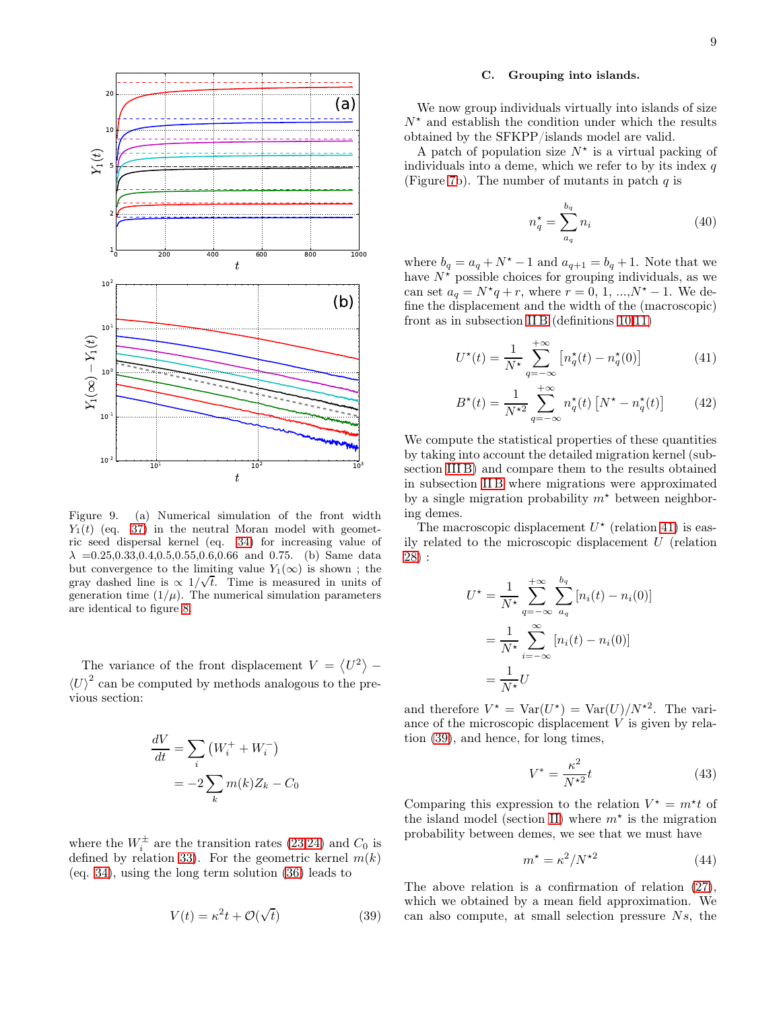

<span id="page-8-0"></span>Figure 9. (a) Numerical simulation of the front width  $Y_1(t)$  (eq. [37\)](#page-7-6) in the neutral Moran model with geometric seed dispersal kernel (eq. [34\)](#page-7-2) for increasing value of  $\lambda = 0.25, 0.33, 0.4, 0.5, 0.55, 0.6, 0.66$  and 0.75. (b) Same data but convergence to the limiting value  $Y_1(\infty)$  is shown; the gray dashed line is  $\propto 1/\sqrt{t}$ . Time is measured in units of generation time  $(1/\mu)$ . The numerical simulation parameters are identical to figure [8.](#page-7-5)

The variance of the front displacement  $V = \langle U^2 \rangle$  –  $\left\langle U\right\rangle ^{2}$  can be computed by methods analogous to the previous section:

$$
\frac{dV}{dt} = \sum_{i} (W_i^+ + W_i^-)
$$

$$
= -2\sum_{k} m(k)Z_k - C_0
$$

where the  $W_i^{\pm}$  are the transition rates [\(23,24\)](#page-6-5) and  $C_0$  is defined by relation [33\)](#page-7-3). For the geometric kernel  $m(k)$ (eq. [34\)](#page-7-2), using the long term solution [\(36\)](#page-7-7) leads to

<span id="page-8-2"></span>
$$
V(t) = \kappa^2 t + \mathcal{O}(\sqrt{t})
$$
\n(39)

### C. Grouping into islands.

We now group individuals virtually into islands of size  $N^*$  and establish the condition under which the results obtained by the SFKPP/islands model are valid.

A patch of population size  $N^*$  is a virtual packing of individuals into a deme, which we refer to by its index  $q$ (Figure [7b](#page-6-1)). The number of mutants in patch  $q$  is

<span id="page-8-4"></span>
$$
n_q^* = \sum_{a_q}^{b_q} n_i \tag{40}
$$

where  $b_q = a_q + N^* - 1$  and  $a_{q+1} = b_q + 1$ . Note that we have  $N^*$  possible choices for grouping individuals, as we can set  $a_q = N^*q + r$ , where  $r = 0, 1, ..., N^* - 1$ . We define the displacement and the width of the (macroscopic) front as in subsection [II B](#page-2-5) (definitions  $10,11$ )

<span id="page-8-1"></span>
$$
U^{\star}(t) = \frac{1}{N^{\star}} \sum_{q=-\infty}^{+\infty} \left[ n_q^{\star}(t) - n_q^{\star}(0) \right]
$$
 (41)

$$
B^*(t) = \frac{1}{N^{*2}} \sum_{q=-\infty}^{+\infty} n_q^*(t) \left[ N^* - n_q^*(t) \right] \tag{42}
$$

We compute the statistical properties of these quantities by taking into account the detailed migration kernel (subsection [III B\)](#page-7-8) and compare them to the results obtained in subsection [II B](#page-2-5) where migrations were approximated by a single migration probability  $m^*$  between neighboring demes.

The macroscopic displacement  $U^*$  (relation [41\)](#page-8-1) is easily related to the microscopic displacement U (relation [28\)](#page-7-9) :

$$
U^* = \frac{1}{N^*} \sum_{q=-\infty}^{+\infty} \sum_{a_q}^{b_q} [n_i(t) - n_i(0)]
$$

$$
= \frac{1}{N^*} \sum_{i=-\infty}^{\infty} [n_i(t) - n_i(0)]
$$

$$
= \frac{1}{N^*} U
$$

and therefore  $V^* = \text{Var}(U^*) = \text{Var}(U)/N^{*2}$ . The variance of the microscopic displacement V is given by relation [\(39\)](#page-8-2), and hence, for long times,

$$
V^* = \frac{\kappa^2}{N^{\star 2}} t \tag{43}
$$

Comparing this expression to the relation  $V^* = m^*t$  of the island model (section [II\)](#page-1-0) where  $m^*$  is the migration probability between demes, we see that we must have

<span id="page-8-3"></span>
$$
m^* = \kappa^2 / N^{\star 2} \tag{44}
$$

The above relation is a confirmation of relation [\(27\)](#page-6-4), which we obtained by a mean field approximation. We can also compute, at small selection pressure Ns, the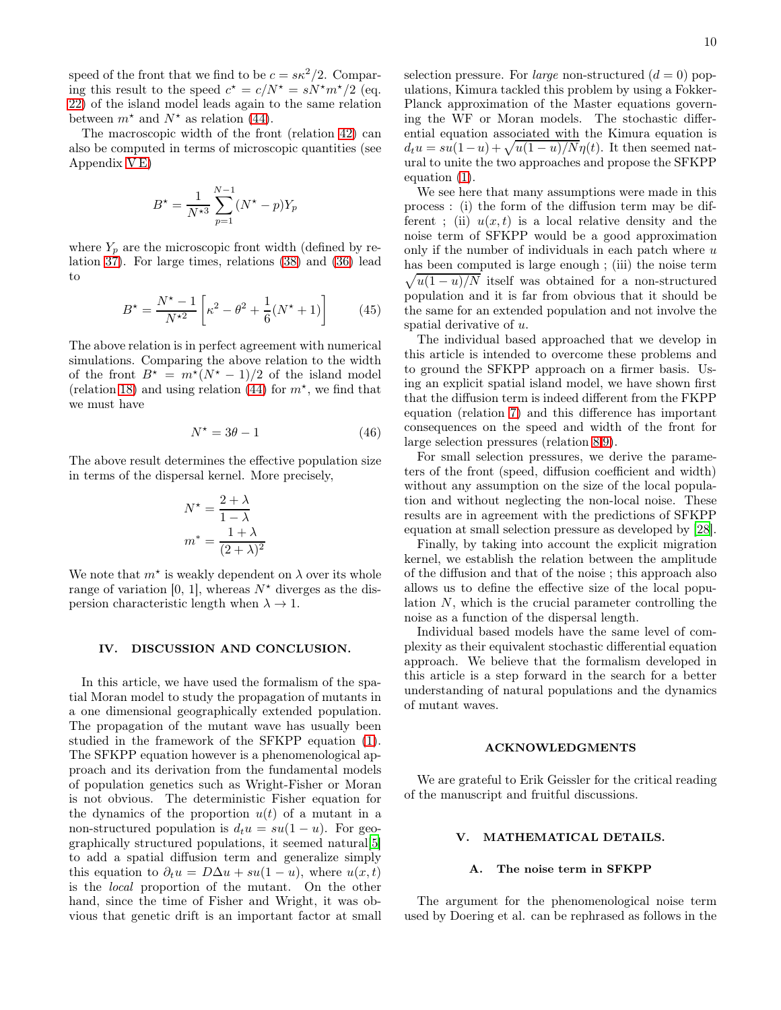speed of the front that we find to be  $c = s\kappa^2/2$ . Comparing this result to the speed  $c^* = c/N^* = sN^*m^*/2$  (eq. [22\)](#page-5-3) of the island model leads again to the same relation between  $m^*$  and  $N^*$  as relation [\(44\)](#page-8-3).

The macroscopic width of the front (relation [42\)](#page-8-1) can also be computed in terms of microscopic quantities (see Appendix [V E\)](#page-11-2)

$$
B^* = \frac{1}{N^{*3}} \sum_{p=1}^{N-1} (N^* - p) Y_p
$$

where  $Y_p$  are the microscopic front width (defined by relation [37\)](#page-7-6). For large times, relations [\(38\)](#page-7-10) and [\(36\)](#page-7-7) lead to

$$
B^* = \frac{N^* - 1}{N^{*2}} \left[ \kappa^2 - \theta^2 + \frac{1}{6} (N^* + 1) \right]
$$
 (45)

The above relation is in perfect agreement with numerical simulations. Comparing the above relation to the width of the front  $B^* = m^*(N^* - 1)/2$  of the island model (relation [18\)](#page-4-3) and using relation [\(44\)](#page-8-3) for  $m^*$ , we find that we must have

$$
N^* = 3\theta - 1\tag{46}
$$

The above result determines the effective population size in terms of the dispersal kernel. More precisely,

$$
N^* = \frac{2 + \lambda}{1 - \lambda}
$$

$$
m^* = \frac{1 + \lambda}{(2 + \lambda)^2}
$$

We note that  $m^*$  is weakly dependent on  $\lambda$  over its whole range of variation [0, 1], whereas  $N^*$  diverges as the dispersion characteristic length when  $\lambda \to 1$ .

### IV. DISCUSSION AND CONCLUSION.

In this article, we have used the formalism of the spatial Moran model to study the propagation of mutants in a one dimensional geographically extended population. The propagation of the mutant wave has usually been studied in the framework of the SFKPP equation [\(1\)](#page-0-0). The SFKPP equation however is a phenomenological approach and its derivation from the fundamental models of population genetics such as Wright-Fisher or Moran is not obvious. The deterministic Fisher equation for the dynamics of the proportion  $u(t)$  of a mutant in a non-structured population is  $d_t u = su(1 - u)$ . For geographically structured populations, it seemed natural[\[5\]](#page-12-4) to add a spatial diffusion term and generalize simply this equation to  $\partial_t u = D\Delta u + su(1-u)$ , where  $u(x,t)$ is the local proportion of the mutant. On the other hand, since the time of Fisher and Wright, it was obvious that genetic drift is an important factor at small selection pressure. For *large* non-structured  $(d = 0)$  populations, Kimura tackled this problem by using a Fokker-Planck approximation of the Master equations governing the WF or Moran models. The stochastic differential equation associated with the Kimura equation is  $d_t u = su(1-u) + \sqrt{u(1-u)/N\eta(t)}$ . It then seemed natural to unite the two approaches and propose the SFKPP equation [\(1\)](#page-0-0).

We see here that many assumptions were made in this process : (i) the form of the diffusion term may be different ; (ii)  $u(x,t)$  is a local relative density and the noise term of SFKPP would be a good approximation only if the number of individuals in each patch where  $u$ has been computed is large enough ; (iii) the noise term  $\sqrt{u(1-u)/N}$  itself was obtained for a non-structured population and it is far from obvious that it should be the same for an extended population and not involve the spatial derivative of u.

The individual based approached that we develop in this article is intended to overcome these problems and to ground the SFKPP approach on a firmer basis. Using an explicit spatial island model, we have shown first that the diffusion term is indeed different from the FKPP equation (relation [7\)](#page-2-1) and this difference has important consequences on the speed and width of the front for large selection pressures (relation [8,](#page-2-6)[9\)](#page-2-7).

For small selection pressures, we derive the parameters of the front (speed, diffusion coefficient and width) without any assumption on the size of the local population and without neglecting the non-local noise. These results are in agreement with the predictions of SFKPP equation at small selection pressure as developed by [\[28\]](#page-12-27).

Finally, by taking into account the explicit migration kernel, we establish the relation between the amplitude of the diffusion and that of the noise ; this approach also allows us to define the effective size of the local population  $N$ , which is the crucial parameter controlling the noise as a function of the dispersal length.

Individual based models have the same level of complexity as their equivalent stochastic differential equation approach. We believe that the formalism developed in this article is a step forward in the search for a better understanding of natural populations and the dynamics of mutant waves.

### ACKNOWLEDGMENTS

We are grateful to Erik Geissler for the critical reading of the manuscript and fruitful discussions.

### V. MATHEMATICAL DETAILS.

# <span id="page-9-0"></span>A. The noise term in SFKPP

The argument for the phenomenological noise term used by Doering et al. can be rephrased as follows in the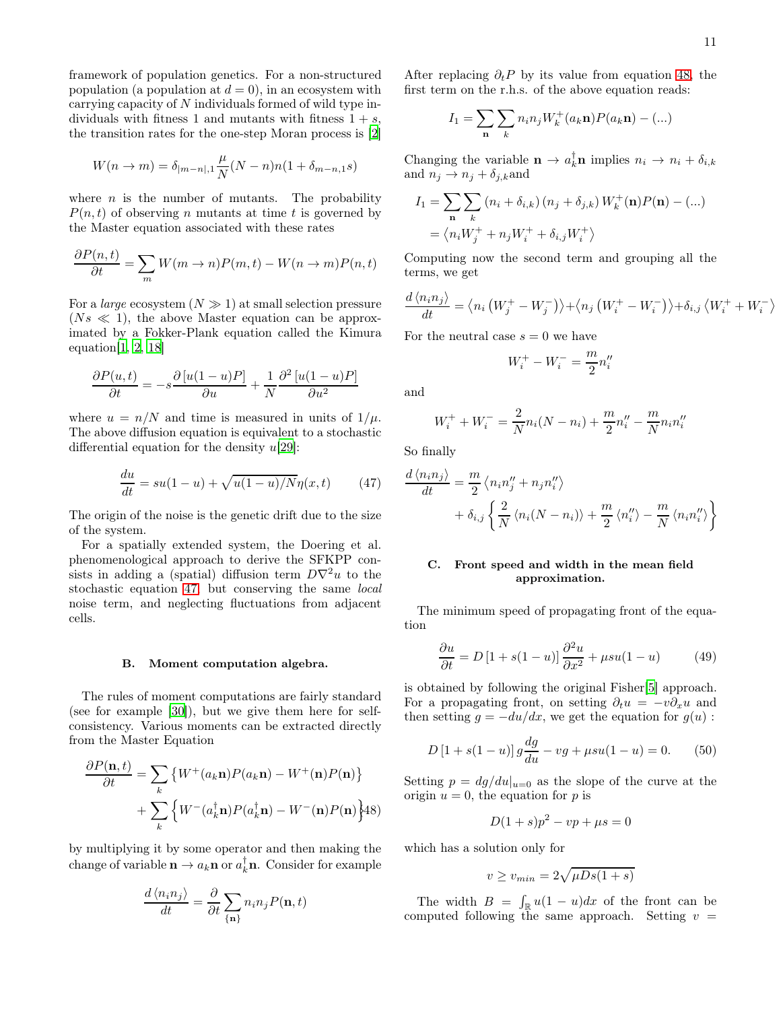$\left\langle \right\rangle$ 

framework of population genetics. For a non-structured population (a population at  $d = 0$ ), in an ecosystem with carrying capacity of N individuals formed of wild type individuals with fitness 1 and mutants with fitness  $1 + s$ , the transition rates for the one-step Moran process is [\[2](#page-12-1)]

$$
W(n \to m) = \delta_{|m-n|,1} \frac{\mu}{N} (N-n)n(1+\delta_{m-n,1}s)
$$

where  $n$  is the number of mutants. The probability  $P(n, t)$  of observing n mutants at time t is governed by the Master equation associated with these rates

$$
\frac{\partial P(n,t)}{\partial t} = \sum_{m} W(m \to n) P(m,t) - W(n \to m) P(n,t)
$$

For a *large* ecosystem  $(N \gg 1)$  at small selection pressure  $(Ns \ll 1)$ , the above Master equation can be approximated by a Fokker-Plank equation called the Kimura equation $[1, 2, 18]$  $[1, 2, 18]$  $[1, 2, 18]$  $[1, 2, 18]$  $[1, 2, 18]$  $[1, 2, 18]$ 

$$
\frac{\partial P(u,t)}{\partial t} = -s \frac{\partial [u(1-u)P]}{\partial u} + \frac{1}{N} \frac{\partial^2 [u(1-u)P]}{\partial u^2}
$$

where  $u = n/N$  and time is measured in units of  $1/\mu$ . The above diffusion equation is equivalent to a stochastic differential equation for the density  $u[29]$  $u[29]$ :

<span id="page-10-2"></span>
$$
\frac{du}{dt} = su(1-u) + \sqrt{u(1-u)/N}\eta(x,t) \qquad (47)
$$

The origin of the noise is the genetic drift due to the size of the system.

For a spatially extended system, the Doering et al. phenomenological approach to derive the SFKPP consists in adding a (spatial) diffusion term  $D\nabla^2 u$  to the stochastic equation [47,](#page-10-2) but conserving the same local noise term, and neglecting fluctuations from adjacent cells.

### <span id="page-10-1"></span>B. Moment computation algebra.

The rules of moment computations are fairly standard (see for example [\[30\]](#page-12-29)), but we give them here for selfconsistency. Various moments can be extracted directly from the Master Equation

<span id="page-10-3"></span>
$$
\frac{\partial P(\mathbf{n},t)}{\partial t} = \sum_{k} \left\{ W^{+}(a_{k}\mathbf{n}) P(a_{k}\mathbf{n}) - W^{+}(\mathbf{n}) P(\mathbf{n}) \right\}
$$

$$
+ \sum_{k} \left\{ W^{-}(a_{k}^{\dagger}\mathbf{n}) P(a_{k}^{\dagger}\mathbf{n}) - W^{-}(\mathbf{n}) P(\mathbf{n}) \right\} A8
$$

by multiplying it by some operator and then making the change of variable  $\mathbf{n} \to a_k \mathbf{n}$  or  $a_k^{\dagger} \mathbf{n}$ . Consider for example

$$
\frac{d\langle n_i n_j \rangle}{dt} = \frac{\partial}{\partial t} \sum_{\{\mathbf{n}\}} n_i n_j P(\mathbf{n}, t)
$$

After replacing  $\partial_t P$  by its value from equation [48,](#page-10-3) the first term on the r.h.s. of the above equation reads:

$$
I_1 = \sum_{\mathbf{n}} \sum_{k} n_i n_j W_k^+(a_k \mathbf{n}) P(a_k \mathbf{n}) - (\ldots)
$$

Changing the variable  $\mathbf{n} \to a_k^{\dagger} \mathbf{n}$  implies  $n_i \to n_i + \delta_{i,k}$ and  $n_j \rightarrow n_j + \delta_{j,k}$ and

$$
I_1 = \sum_{\mathbf{n}} \sum_{k} (n_i + \delta_{i,k}) (n_j + \delta_{j,k}) W_k^+(\mathbf{n}) P(\mathbf{n}) - (\dots)
$$
  
=  $\langle n_i W_j^+ + n_j W_i^+ + \delta_{i,j} W_i^+ \rangle$ 

Computing now the second term and grouping all the terms, we get

$$
\frac{d\langle n_i n_j \rangle}{dt} = \langle n_i \left( W_j^+ - W_j^- \right) \rangle + \langle n_j \left( W_i^+ - W_i^- \right) \rangle + \delta_{i,j} \langle W_i^+ + W_i^- \rangle
$$

For the neutral case  $s = 0$  we have

$$
W_i^+ - W_i^- = \frac{m}{2} n_i''
$$

and

$$
W_i^+ + W_i^- = \frac{2}{N} n_i (N - n_i) + \frac{m}{2} n_i'' - \frac{m}{N} n_i n_i''
$$

So finally

∂u

$$
\frac{d\langle n_i n_j \rangle}{dt} = \frac{m}{2} \langle n_i n''_j + n_j n''_i \rangle
$$

$$
+ \delta_{i,j} \left\{ \frac{2}{N} \langle n_i (N - n_i) \rangle + \frac{m}{2} \langle n''_i \rangle - \frac{m}{N} \langle n_i n''_i \rangle \right\}
$$

# <span id="page-10-0"></span>C. Front speed and width in the mean field approximation.

The minimum speed of propagating front of the equation

$$
\frac{\partial u}{\partial t} = D\left[1 + s(1 - u)\right] \frac{\partial^2 u}{\partial x^2} + \mu s u(1 - u) \tag{49}
$$

is obtained by following the original Fisher[\[5](#page-12-4)] approach. For a propagating front, on setting  $\partial_t u = -v \partial_x u$  and then setting  $g = -du/dx$ , we get the equation for  $g(u)$ :

<span id="page-10-4"></span>
$$
D\left[1 + s(1 - u)\right]g\frac{dg}{du} - v g + \mu s u(1 - u) = 0. \tag{50}
$$

Setting  $p = dg/du|_{u=0}$  as the slope of the curve at the origin  $u = 0$ , the equation for p is

$$
D(1+s)p^2 - vp + \mu s = 0
$$

which has a solution only for

$$
v \ge v_{min} = 2\sqrt{\mu D s (1+s)}
$$

The width  $B = \int_{\mathbb{R}} u(1-u)dx$  of the front can be computed following the same approach. Setting  $v =$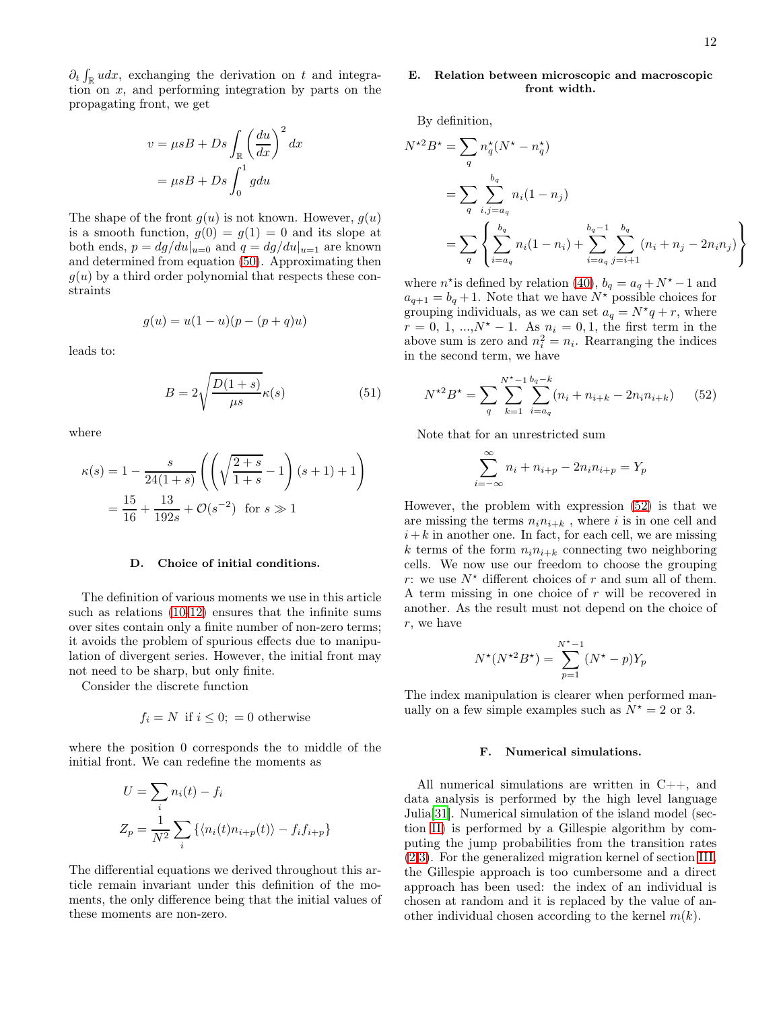$\partial_t \int_{\mathbb{R}} u dx$ , exchanging the derivation on t and integration on  $x$ , and performing integration by parts on the propagating front, we get

$$
v = \mu s B + D s \int_{\mathbb{R}} \left(\frac{du}{dx}\right)^2 dx
$$

$$
= \mu s B + D s \int_0^1 g du
$$

The shape of the front  $g(u)$  is not known. However,  $g(u)$ is a smooth function,  $g(0) = g(1) = 0$  and its slope at both ends,  $p = dg/du|_{u=0}$  and  $q = dg/du|_{u=1}$  are known and determined from equation [\(50\)](#page-10-4). Approximating then  $q(u)$  by a third order polynomial that respects these constraints

$$
g(u) = u(1 - u)(p - (p + q)u)
$$

leads to:

<span id="page-11-1"></span>
$$
B = 2\sqrt{\frac{D(1+s)}{\mu s}}\kappa(s)
$$
 (51)

where

$$
\kappa(s) = 1 - \frac{s}{24(1+s)} \left( \left( \sqrt{\frac{2+s}{1+s}} - 1 \right) (s+1) + 1 \right)
$$

$$
= \frac{15}{16} + \frac{13}{192s} + \mathcal{O}(s^{-2}) \text{ for } s \gg 1
$$

# <span id="page-11-0"></span>D. Choice of initial conditions.

The definition of various moments we use in this article such as relations [\(10](#page-3-2)[-12\)](#page-3-5) ensures that the infinite sums over sites contain only a finite number of non-zero terms; it avoids the problem of spurious effects due to manipulation of divergent series. However, the initial front may not need to be sharp, but only finite.

Consider the discrete function

$$
f_i = N \text{ if } i \leq 0; = 0 \text{ otherwise}
$$

where the position 0 corresponds the to middle of the initial front. We can redefine the moments as

$$
U = \sum_{i} n_i(t) - f_i
$$
  

$$
Z_p = \frac{1}{N^2} \sum_{i} \left\{ \langle n_i(t) n_{i+p}(t) \rangle - f_i f_{i+p} \right\}
$$

The differential equations we derived throughout this article remain invariant under this definition of the moments, the only difference being that the initial values of these moments are non-zero.

# <span id="page-11-2"></span>E. Relation between microscopic and macroscopic front width.

By definition,

$$
N^{*2}B^{*} = \sum_{q} n_{q}^{*}(N^{*} - n_{q}^{*})
$$
  
= 
$$
\sum_{q} \sum_{i,j=a_{q}}^{b_{q}} n_{i}(1 - n_{j})
$$
  
= 
$$
\sum_{q} \left\{ \sum_{i=a_{q}}^{b_{q}} n_{i}(1 - n_{i}) + \sum_{i=a_{q}}^{b_{q}-1} \sum_{j=i+1}^{b_{q}} (n_{i} + n_{j} - 2n_{i}n_{j}) \right\}
$$

where  $n^*$  is defined by relation [\(40\)](#page-8-4),  $b_q = a_q + N^* - 1$  and  $a_{q+1} = b_q + 1$ . Note that we have  $N^*$  possible choices for grouping individuals, as we can set  $a_q = N^*q + r$ , where  $r = 0, 1, ..., N^* - 1$ . As  $n_i = 0, 1$ , the first term in the above sum is zero and  $n_i^2 = n_i$ . Rearranging the indices in the second term, we have

<span id="page-11-3"></span>
$$
N^{\star 2} B^{\star} = \sum_{q} \sum_{k=1}^{N^{\star}-1} \sum_{i=a_q}^{b_q - k} (n_i + n_{i+k} - 2n_i n_{i+k}) \qquad (52)
$$

Note that for an unrestricted sum

$$
\sum_{i=-\infty}^{\infty} n_i + n_{i+p} - 2n_i n_{i+p} = Y_p
$$

However, the problem with expression [\(52\)](#page-11-3) is that we are missing the terms  $n_i n_{i+k}$ , where i is in one cell and  $i+k$  in another one. In fact, for each cell, we are missing k terms of the form  $n_i n_{i+k}$  connecting two neighboring cells. We now use our freedom to choose the grouping r: we use  $N^*$  different choices of r and sum all of them. A term missing in one choice of r will be recovered in another. As the result must not depend on the choice of r, we have

$$
N^*(N^{*2}B^*) = \sum_{p=1}^{N^*-1} (N^* - p)Y_p
$$

The index manipulation is clearer when performed manually on a few simple examples such as  $N^* = 2$  or 3.

# F. Numerical simulations.

All numerical simulations are written in C++, and data analysis is performed by the high level language Julia[\[31\]](#page-12-30). Numerical simulation of the island model (section [II\)](#page-1-0) is performed by a Gillespie algorithm by computing the jump probabilities from the transition rates [\(2,3\)](#page-1-2). For the generalized migration kernel of section [III,](#page-6-0) the Gillespie approach is too cumbersome and a direct approach has been used: the index of an individual is chosen at random and it is replaced by the value of another individual chosen according to the kernel  $m(k)$ .